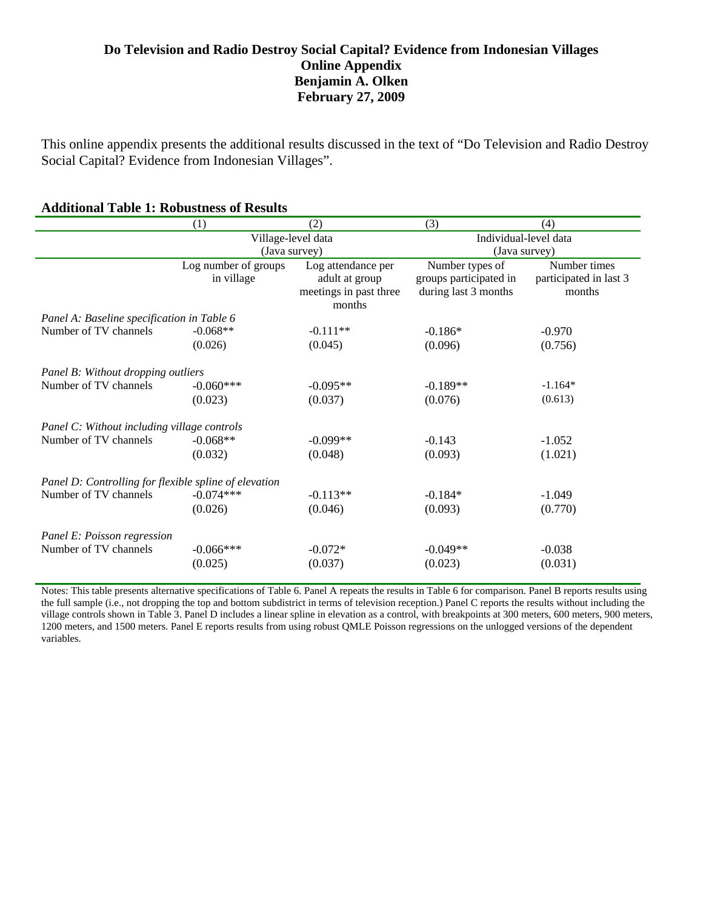### **Do Television and Radio Destroy Social Capital? Evidence from Indonesian Villages Online Appendix Benjamin A. Olken February 27, 2009**

This online appendix presents the additional results discussed in the text of "Do Television and Radio Destroy Social Capital? Evidence from Indonesian Villages".

#### **Additional Table 1: Robustness of Results**

|                                                       | (1)                  | (2)                    | (3)                    | (4)                    |  |  |
|-------------------------------------------------------|----------------------|------------------------|------------------------|------------------------|--|--|
|                                                       | Village-level data   |                        | Individual-level data  |                        |  |  |
|                                                       |                      | (Java survey)          |                        | (Java survey)          |  |  |
|                                                       | Log number of groups | Log attendance per     | Number types of        | Number times           |  |  |
|                                                       | in village           | adult at group         | groups participated in | participated in last 3 |  |  |
|                                                       |                      | meetings in past three | during last 3 months   | months                 |  |  |
|                                                       |                      | months                 |                        |                        |  |  |
| Panel A: Baseline specification in Table 6            |                      |                        |                        |                        |  |  |
| Number of TV channels                                 | $-0.068**$           | $-0.111**$             | $-0.186*$              | $-0.970$               |  |  |
|                                                       | (0.026)              | (0.045)                | (0.096)                | (0.756)                |  |  |
|                                                       |                      |                        |                        |                        |  |  |
| Panel B: Without dropping outliers                    |                      |                        |                        |                        |  |  |
| Number of TV channels                                 | $-0.060***$          | $-0.095**$             | $-0.189**$             | $-1.164*$              |  |  |
|                                                       | (0.023)              | (0.037)                | (0.076)                | (0.613)                |  |  |
|                                                       |                      |                        |                        |                        |  |  |
| Panel C: Without including village controls           |                      |                        |                        |                        |  |  |
| Number of TV channels                                 | $-0.068**$           | $-0.099**$             | $-0.143$               | $-1.052$               |  |  |
|                                                       | (0.032)              | (0.048)                | (0.093)                | (1.021)                |  |  |
|                                                       |                      |                        |                        |                        |  |  |
| Panel D: Controlling for flexible spline of elevation |                      |                        |                        |                        |  |  |
| Number of TV channels                                 | $-0.074***$          | $-0.113**$             | $-0.184*$              | $-1.049$               |  |  |
|                                                       | (0.026)              | (0.046)                | (0.093)                | (0.770)                |  |  |
|                                                       |                      |                        |                        |                        |  |  |
| Panel E: Poisson regression                           |                      |                        |                        |                        |  |  |
| Number of TV channels                                 | $-0.066***$          | $-0.072*$              | $-0.049**$             | $-0.038$               |  |  |
|                                                       | (0.025)              | (0.037)                | (0.023)                | (0.031)                |  |  |
|                                                       |                      |                        |                        |                        |  |  |

Notes: This table presents alternative specifications of Table 6. Panel A repeats the results in Table 6 for comparison. Panel B reports results using the full sample (i.e., not dropping the top and bottom subdistrict in terms of television reception.) Panel C reports the results without including the village controls shown in Table 3. Panel D includes a linear spline in elevation as a control, with breakpoints at 300 meters, 600 meters, 900 meters, 1200 meters, and 1500 meters. Panel E reports results from using robust QMLE Poisson regressions on the unlogged versions of the dependent variables.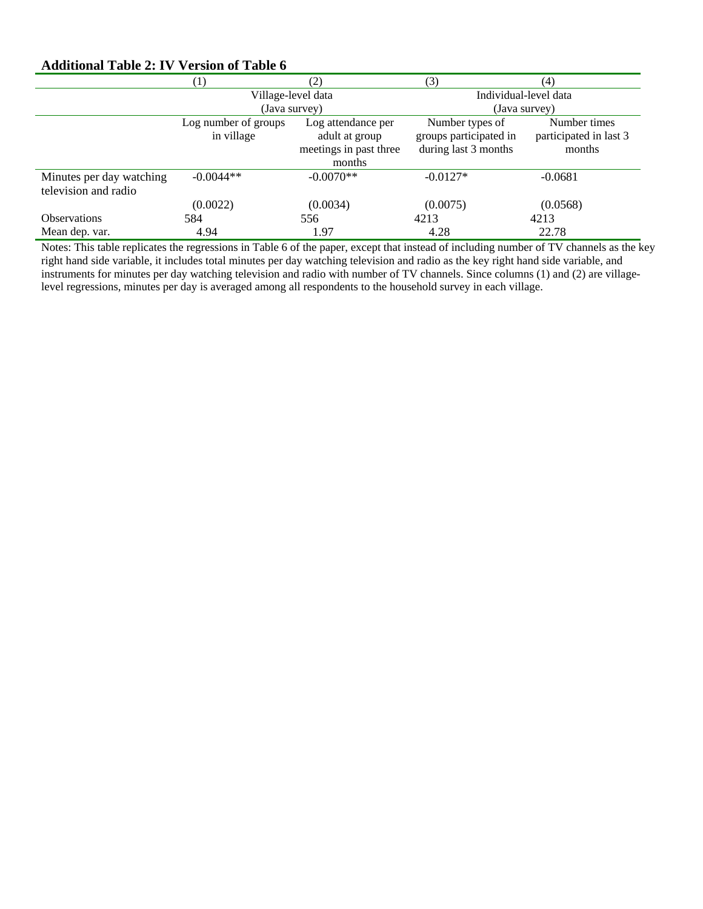#### **Additional Table 2: IV Version of Table 6**

|                                                  | $\left(1\right)$                   | (2)                                                            | (3)                                                               | (4)                                              |  |
|--------------------------------------------------|------------------------------------|----------------------------------------------------------------|-------------------------------------------------------------------|--------------------------------------------------|--|
|                                                  | Village-level data                 |                                                                | Individual-level data                                             |                                                  |  |
|                                                  | (Java survey)                      |                                                                | (Java survey)                                                     |                                                  |  |
|                                                  | Log number of groups<br>in village | Log attendance per<br>adult at group<br>meetings in past three | Number types of<br>groups participated in<br>during last 3 months | Number times<br>participated in last 3<br>months |  |
|                                                  |                                    | months                                                         |                                                                   |                                                  |  |
| Minutes per day watching<br>television and radio | $-0.0044**$                        | $-0.0070**$                                                    | $-0.0127*$                                                        | $-0.0681$                                        |  |
|                                                  | (0.0022)                           | (0.0034)                                                       | (0.0075)                                                          | (0.0568)                                         |  |
| <b>Observations</b>                              | 584                                | 556                                                            | 4213                                                              | 4213                                             |  |
| Mean dep. var.                                   | 4.94                               | 1.97                                                           | 4.28                                                              | 22.78                                            |  |

Notes: This table replicates the regressions in Table 6 of the paper, except that instead of including number of TV channels as the key right hand side variable, it includes total minutes per day watching television and radio as the key right hand side variable, and instruments for minutes per day watching television and radio with number of TV channels. Since columns (1) and (2) are villagelevel regressions, minutes per day is averaged among all respondents to the household survey in each village.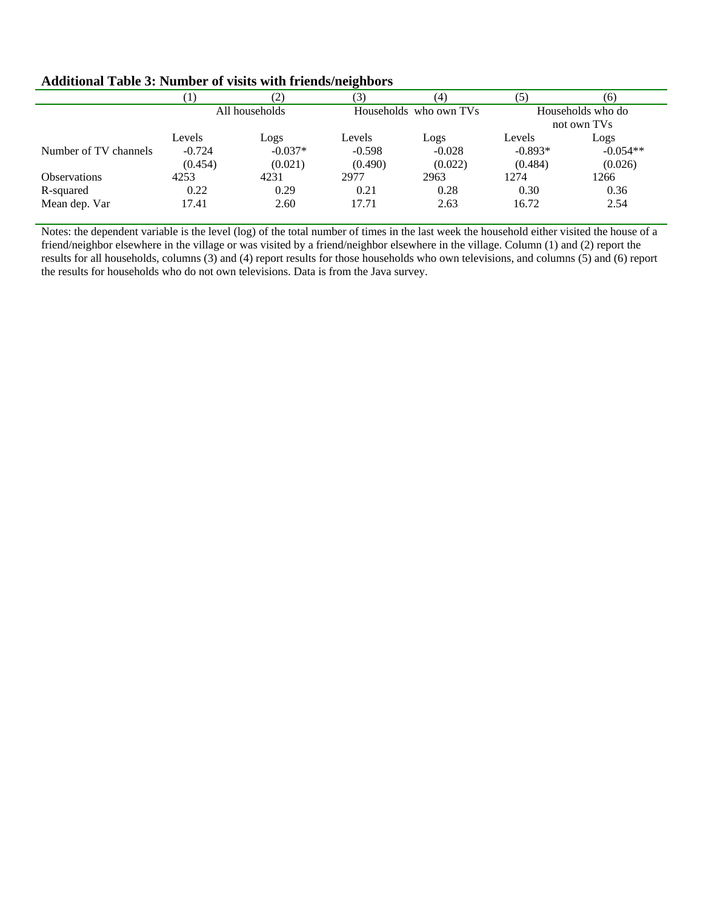#### **Additional Table 3: Number of visits with friends/neighbors**

|                       | $\lfloor$ .         | (2                   | (3)                    | (4)                 | (5)                              | (6)                   |
|-----------------------|---------------------|----------------------|------------------------|---------------------|----------------------------------|-----------------------|
|                       | All households      |                      | Households who own TVs |                     | Households who do<br>not own TVs |                       |
|                       | Levels              | LogS                 | Levels                 | Logs                | Levels                           | Logs                  |
| Number of TV channels | $-0.724$<br>(0.454) | $-0.037*$<br>(0.021) | $-0.598$<br>(0.490)    | $-0.028$<br>(0.022) | $-0.893*$<br>(0.484)             | $-0.054**$<br>(0.026) |
| <b>Observations</b>   | 4253                | 4231                 | 2977                   | 2963                | 1274                             | 1266                  |
| R-squared             | 0.22                | 0.29                 | 0.21                   | 0.28                | 0.30                             | 0.36                  |
| Mean dep. Var         | 17.41               | 2.60                 | 17.71                  | 2.63                | 16.72                            | 2.54                  |

Notes: the dependent variable is the level (log) of the total number of times in the last week the household either visited the house of a friend/neighbor elsewhere in the village or was visited by a friend/neighbor elsewhere in the village. Column (1) and (2) report the results for all households, columns (3) and (4) report results for those households who own televisions, and columns (5) and (6) report the results for households who do not own televisions. Data is from the Java survey.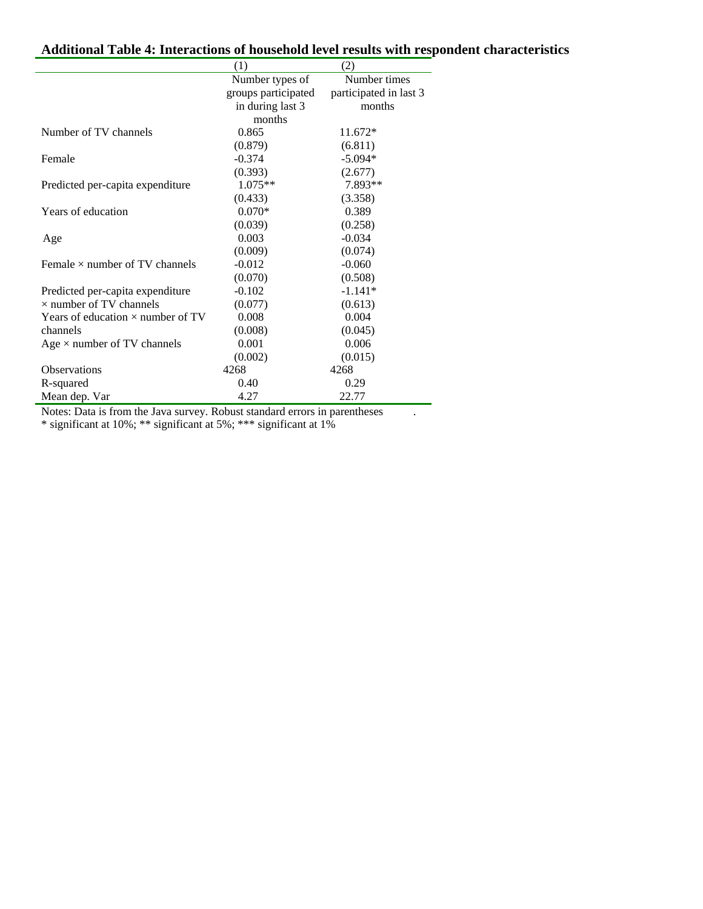# **Additional Table 4: Interactions of household level results with respondent characteristics**

|                                                                                      | (1)                    | (2)                    |
|--------------------------------------------------------------------------------------|------------------------|------------------------|
|                                                                                      | Number types of        | Number times           |
|                                                                                      | groups participated    | participated in last 3 |
|                                                                                      | in during last 3       | months                 |
|                                                                                      | months                 |                        |
| Number of TV channels                                                                | 0.865                  | $11.672*$              |
|                                                                                      | (0.879)                | (6.811)                |
| Female                                                                               | $-0.374$               | $-5.094*$              |
|                                                                                      | (0.393)                | (2.677)                |
| Predicted per-capita expenditure                                                     | $1.075**$              | 7.893**                |
|                                                                                      | (0.433)                | (3.358)                |
| Years of education                                                                   | $0.070*$               | 0.389                  |
|                                                                                      | (0.039)                | (0.258)                |
| Age                                                                                  | 0.003                  | $-0.034$               |
|                                                                                      | (0.009)                | (0.074)                |
| Female $\times$ number of TV channels                                                | $-0.012$               | $-0.060$               |
|                                                                                      | (0.070)                | (0.508)                |
| Predicted per-capita expenditure                                                     | $-0.102$               | $-1.141*$              |
| $\times$ number of TV channels                                                       | (0.077)                | (0.613)                |
| Years of education $\times$ number of TV                                             | 0.008                  | 0.004                  |
| channels                                                                             | (0.008)                | (0.045)                |
| Age $\times$ number of TV channels                                                   | 0.001                  | 0.006                  |
|                                                                                      | (0.002)                | (0.015)                |
| <b>Observations</b>                                                                  | 4268                   | 4268                   |
| R-squared                                                                            | 0.40                   | 0.29                   |
| Mean dep. Var<br>$\mathbf{M}$ $\mathbf{N}$ $\mathbf{N}$<br>$\mathbf{r}$<br>$\cdot$ 1 | 4.27<br>$\mathbf{r}$ 1 | 22.77<br>$\cdot$ 1     |

Notes: Data is from the Java survey. Robust standard errors in parentheses .

\* significant at 10%; \*\* significant at 5%; \*\*\* significant at 1%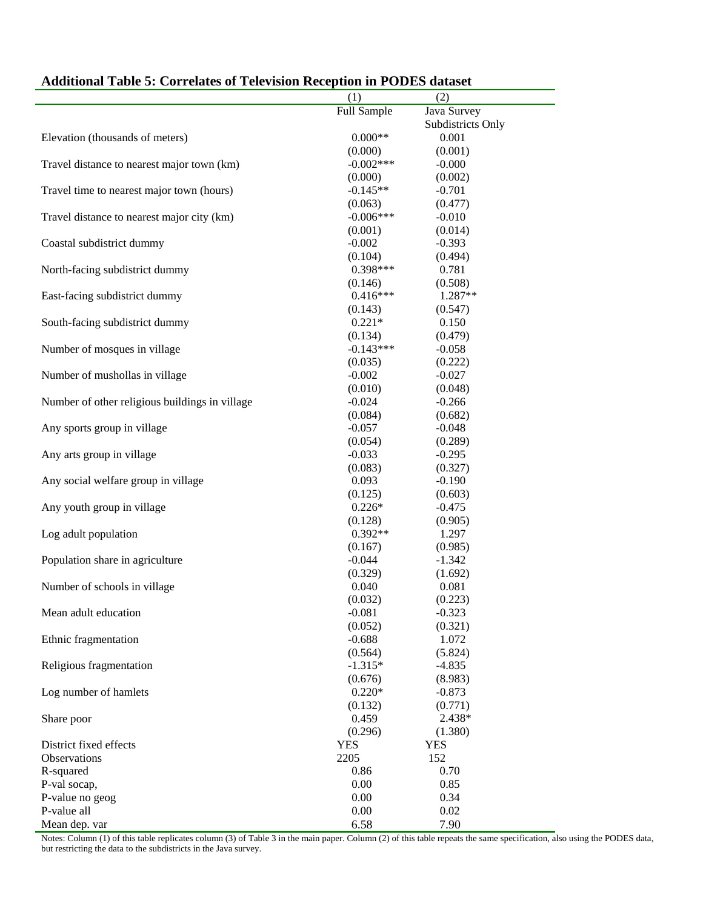|                                                | (1)         | (2)               |
|------------------------------------------------|-------------|-------------------|
|                                                | Full Sample | Java Survey       |
|                                                |             | Subdistricts Only |
| Elevation (thousands of meters)                | $0.000**$   | 0.001             |
|                                                | (0.000)     | (0.001)           |
| Travel distance to nearest major town (km)     | $-0.002***$ | $-0.000$          |
|                                                | (0.000)     | (0.002)           |
| Travel time to nearest major town (hours)      | $-0.145**$  | $-0.701$          |
|                                                | (0.063)     | (0.477)           |
| Travel distance to nearest major city (km)     | $-0.006***$ | $-0.010$          |
|                                                | (0.001)     | (0.014)           |
| Coastal subdistrict dummy                      | $-0.002$    | $-0.393$          |
|                                                | (0.104)     | (0.494)           |
| North-facing subdistrict dummy                 | $0.398***$  | 0.781             |
|                                                | (0.146)     | (0.508)           |
| East-facing subdistrict dummy                  | $0.416***$  | 1.287**           |
|                                                | (0.143)     | (0.547)           |
| South-facing subdistrict dummy                 | $0.221*$    | 0.150             |
|                                                | (0.134)     | (0.479)           |
| Number of mosques in village                   | $-0.143***$ | $-0.058$          |
|                                                | (0.035)     |                   |
|                                                |             | (0.222)           |
| Number of mushollas in village                 | $-0.002$    | $-0.027$          |
|                                                | (0.010)     | (0.048)           |
| Number of other religious buildings in village | $-0.024$    | $-0.266$          |
|                                                | (0.084)     | (0.682)           |
| Any sports group in village                    | $-0.057$    | $-0.048$          |
|                                                | (0.054)     | (0.289)           |
| Any arts group in village                      | $-0.033$    | $-0.295$          |
|                                                | (0.083)     | (0.327)           |
| Any social welfare group in village            | 0.093       | $-0.190$          |
|                                                | (0.125)     | (0.603)           |
| Any youth group in village                     | $0.226*$    | $-0.475$          |
|                                                | (0.128)     | (0.905)           |
| Log adult population                           | $0.392**$   | 1.297             |
|                                                | (0.167)     | (0.985)           |
| Population share in agriculture                | $-0.044$    | $-1.342$          |
|                                                | (0.329)     | (1.692)           |
| Number of schools in village                   | 0.040       | 0.081             |
|                                                | (0.032)     | (0.223)           |
| Mean adult education                           | $-0.081$    | $-0.323$          |
|                                                | (0.052)     | (0.321)           |
| Ethnic fragmentation                           | $-0.688$    | 1.072             |
|                                                | (0.564)     | (5.824)           |
| Religious fragmentation                        | $-1.315*$   | $-4.835$          |
|                                                | (0.676)     | (8.983)           |
| Log number of hamlets                          | $0.220*$    | $-0.873$          |
|                                                | (0.132)     | (0.771)           |
| Share poor                                     | 0.459       | 2.438*            |
|                                                | (0.296)     |                   |
| District fixed effects                         | <b>YES</b>  | (1.380)           |
|                                                |             | <b>YES</b>        |
| Observations                                   | 2205        | 152               |
| R-squared                                      | 0.86        | 0.70              |
| P-val socap,                                   | 0.00        | 0.85              |
| P-value no geog                                | 0.00        | 0.34              |
| P-value all                                    | 0.00        | 0.02              |
| Mean dep. var                                  | 6.58        | 7.90              |

## **Additional Table 5: Correlates of Television Reception in PODES dataset**

Notes: Column (1) of this table replicates column (3) of Table 3 in the main paper. Column (2) of this table repeats the same specification, also using the PODES data, but restricting the data to the subdistricts in the Java survey.